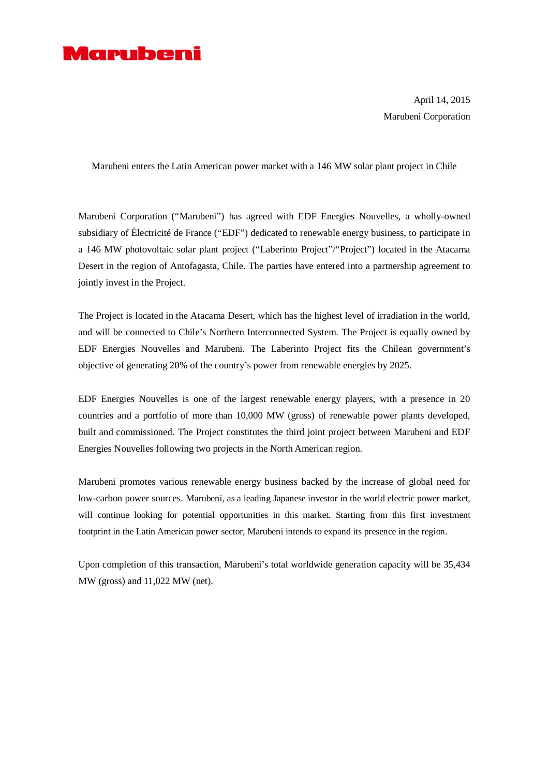

April 14, 2015 Marubeni Corporation

## Marubeni enters the Latin American power market with a 146 MW solar plant project in Chile

Marubeni Corporation ("Marubeni") has agreed with EDF Energies Nouvelles, a wholly-owned subsidiary of Électricité de France ("EDF") dedicated to renewable energy business, to participate in a 146 MW photovoltaic solar plant project ("Laberinto Project"/"Project") located in the Atacama Desert in the region of Antofagasta, Chile. The parties have entered into a partnership agreement to jointly invest in the Project.

The Project is located in the Atacama Desert, which has the highest level of irradiation in the world, and will be connected to Chile's Northern Interconnected System. The Project is equally owned by EDF Energies Nouvelles and Marubeni. The Laberinto Project fits the Chilean government's objective of generating 20% of the country's power from renewable energies by 2025.

EDF Energies Nouvelles is one of the largest renewable energy players, with a presence in 20 countries and a portfolio of more than 10,000 MW (gross) of renewable power plants developed, built and commissioned. The Project constitutes the third joint project between Marubeni and EDF Energies Nouvelles following two projects in the North American region.

Marubeni promotes various renewable energy business backed by the increase of global need for low-carbon power sources. Marubeni, as a leading Japanese investor in the world electric power market, will continue looking for potential opportunities in this market. Starting from this first investment footprint in the Latin American power sector, Marubeni intends to expand its presence in the region.

Upon completion of this transaction, Marubeni's total worldwide generation capacity will be 35,434 MW (gross) and 11,022 MW (net).